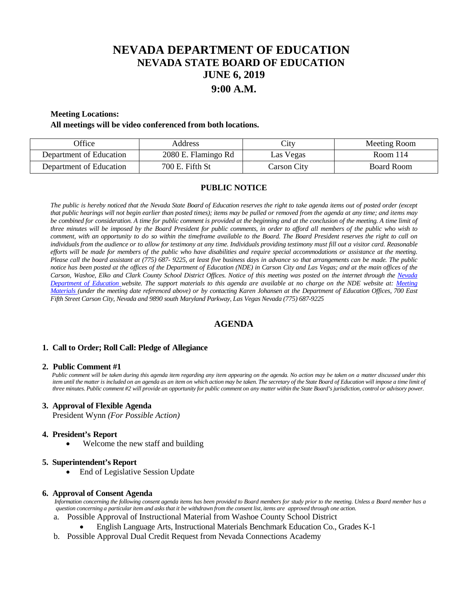# **NEVADA DEPARTMENT OF EDUCATION NEVADA STATE BOARD OF EDUCATION JUNE 6, 2019 9:00 A.M.**

# **Meeting Locations:**

#### **All meetings will be video conferenced from both locations.**

| <b>Office</b>           | Address             | $\mathsf{\cup}1\mathsf{t}\mathsf{v}$ | Meeting Room |
|-------------------------|---------------------|--------------------------------------|--------------|
| Department of Education | 2080 E. Flamingo Rd | Las Vegas                            | Room $114$   |
| Department of Education | 700 E. Fifth St     | Carson City                          | Board Room   |

# **PUBLIC NOTICE**

*The public is hereby noticed that the Nevada State Board of Education reserves the right to take agenda items out of posted order (except that public hearings will not begin earlier than posted times); items may be pulled or removed from the agenda at any time; and items may be combined for consideration. A time for public comment is provided at the beginning and at the conclusion of the meeting. A time limit of three minutes will be imposed by the Board President for public comments, in order to afford all members of the public who wish to comment, with an opportunity to do so within the timeframe available to the Board. The Board President reserves the right to call on individuals from the audience or to allow for testimony at any time. Individuals providing testimony must fill out a visitor card. Reasonable efforts will be made for members of the public who have disabilities and require special accommodations or assistance at the meeting. Please call the board assistant at (775) 687- 9225, at least five business days in advance so that arrangements can be made. The public notice has been posted at the offices of the Department of Education (NDE) in Carson City and Las Vegas; and at the main offices of the Carson, Washoe, Elko and Clark County School District Offices. Notice of this meeting was posted on the internet through the Nevada Department of Education website. The support materials to this agenda are available at no charge on the NDE website at: [Meeting](http://www.doe.nv.gov/Boards_Commissions_Councils/State_Board_of_Education/MeetingMaterials/)  [Materials \(](http://www.doe.nv.gov/Boards_Commissions_Councils/State_Board_of_Education/MeetingMaterials/)under the meeting date referenced above) or by contacting Karen Johansen at the Department of Education Offices, 700 East Fifth Street Carson City, Nevada and 9890 south Maryland Parkway, Las Vegas Nevada (775) 687-9225*

# **AGENDA**

### **1. Call to Order; Roll Call: Pledge of Allegiance**

#### **2. Public Comment #1**

 *Public comment will be taken during this agenda item regarding any item appearing on the agenda. No action may be taken on a matter discussed under this item until the matter is included on an agenda as an item on which action may be taken. The secretary of the State Board of Education will impose a time limit of three minutes. Public comment #2 will provide an opportunity for public comment on any matter within the State Board's jurisdiction, control or advisory power.*

# **3. Approval of Flexible Agenda**

President Wynn *(For Possible Action)* 

#### **4. President's Report**

Welcome the new staff and building

# **5. Superintendent's Report**

• End of Legislative Session Update

#### **6. Approval of Consent Agenda**

 *Information concerning the following consent agenda items has been provided to Board members for study prior to the meeting. Unless a Board member has a question concerning a particular item and asks that it be withdrawn from the consent list, items are approved through one action.*

- a. Possible Approval of Instructional Material from Washoe County School District
	- English Language Arts, Instructional Materials Benchmark Education Co., Grades K-1
- b. Possible Approval Dual Credit Request from Nevada Connections Academy